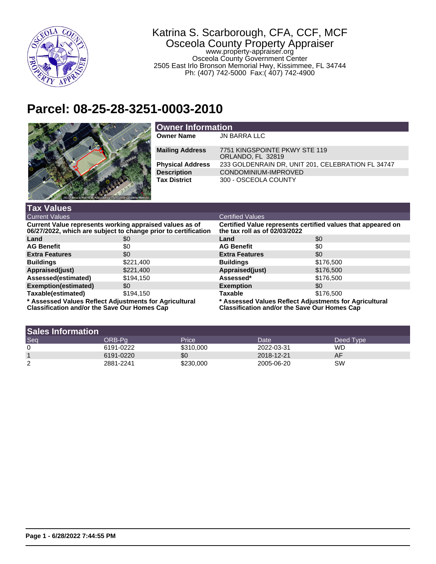

## Katrina S. Scarborough, CFA, CCF, MCF Osceola County Property Appraiser

www.property-appraiser.org Osceola County Government Center 2505 East Irlo Bronson Memorial Hwy, Kissimmee, FL 34744 Ph: (407) 742-5000 Fax:( 407) 742-4900

## **Parcel: 08-25-28-3251-0003-2010**



| <b>Owner Information</b> |                                                    |  |
|--------------------------|----------------------------------------------------|--|
| <b>Owner Name</b>        | JN BARRA LLC                                       |  |
| <b>Mailing Address</b>   | 7751 KINGSPOINTE PKWY STE 119<br>ORLANDO, FL 32819 |  |
| <b>Physical Address</b>  | 233 GOLDENRAIN DR, UNIT 201, CELEBRATION FL 34747  |  |
| <b>Description</b>       | CONDOMINIUM-IMPROVED                               |  |
| <b>Tax District</b>      | 300 - OSCEOLA COUNTY                               |  |

| <b>Tax Values</b>                                                                                                         |           |                                                                                                         |           |  |
|---------------------------------------------------------------------------------------------------------------------------|-----------|---------------------------------------------------------------------------------------------------------|-----------|--|
| <b>Current Values</b>                                                                                                     |           | <b>Certified Values</b>                                                                                 |           |  |
| Current Value represents working appraised values as of<br>06/27/2022, which are subject to change prior to certification |           | Certified Value represents certified values that appeared on<br>the tax roll as of 02/03/2022           |           |  |
| Land                                                                                                                      | \$0       | Land                                                                                                    | \$0       |  |
| <b>AG Benefit</b>                                                                                                         | \$0       | <b>AG Benefit</b>                                                                                       | \$0       |  |
| <b>Extra Features</b>                                                                                                     | \$0       | <b>Extra Features</b>                                                                                   | \$0       |  |
| <b>Buildings</b>                                                                                                          | \$221,400 | <b>Buildings</b>                                                                                        | \$176,500 |  |
| Appraised(just)                                                                                                           | \$221,400 | Appraised(just)                                                                                         | \$176,500 |  |
| Assessed(estimated)                                                                                                       | \$194,150 | Assessed*                                                                                               | \$176,500 |  |
| <b>Exemption(estimated)</b>                                                                                               | \$0       | <b>Exemption</b>                                                                                        | \$0       |  |
| Taxable(estimated)                                                                                                        | \$194.150 | <b>Taxable</b>                                                                                          | \$176,500 |  |
| * Assessed Values Reflect Adjustments for Agricultural<br>Classification and/or the Cause Our Homes Can                   |           | * Assessed Values Reflect Adjustments for Agricultural<br>Classification and/or the Cause Our Homes Can |           |  |

**Classification and/or the Save Our Homes Cap**

**Classification and/or the Save Our Homes Cap**

| <b>Sales Information</b> |           |           |            |           |
|--------------------------|-----------|-----------|------------|-----------|
| Seq                      | ORB-Pa    | Price     | Date       | Deed Type |
| 0                        | 6191-0222 | \$310,000 | 2022-03-31 | WD        |
|                          | 6191-0220 | \$0       | 2018-12-21 | AF        |
| ⌒<br>∠                   | 2881-2241 | \$230,000 | 2005-06-20 | SW        |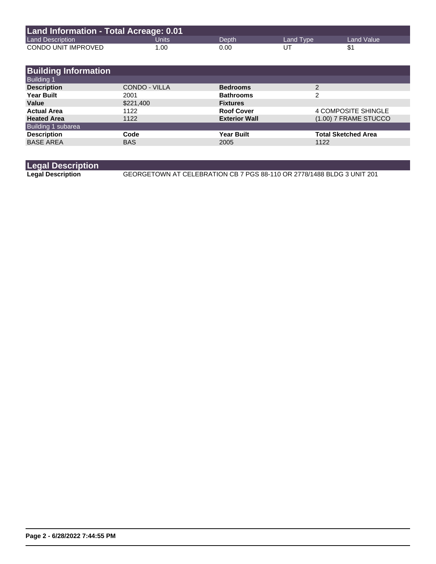| Land Information - Total Acreage: 0.01 |       |       |           |              |
|----------------------------------------|-------|-------|-----------|--------------|
| <b>Land Description</b>                | Units | Depth | Land Type | Land Value \ |
| CONDO UNIT IMPROVED                    | 1.00  | 0.00  | UT        |              |

| <b>Building Information</b> |                      |                      |                            |
|-----------------------------|----------------------|----------------------|----------------------------|
| <b>Building 1</b>           |                      |                      |                            |
| <b>Description</b>          | <b>CONDO - VILLA</b> | <b>Bedrooms</b>      | 2                          |
| <b>Year Built</b>           | 2001                 | <b>Bathrooms</b>     | 2                          |
| Value                       | \$221,400            | <b>Fixtures</b>      |                            |
| <b>Actual Area</b>          | 1122                 | <b>Roof Cover</b>    | <b>4 COMPOSITE SHINGLE</b> |
| <b>Heated Area</b>          | 1122                 | <b>Exterior Wall</b> | (1.00) 7 FRAME STUCCO      |
| Building 1 subarea          |                      |                      |                            |
| <b>Description</b>          | Code                 | <b>Year Built</b>    | <b>Total Sketched Area</b> |
| <b>BASE AREA</b>            | <b>BAS</b>           | 2005                 | 1122                       |

| <b>Legal Description</b> |                                                                        |
|--------------------------|------------------------------------------------------------------------|
| <b>Legal Description</b> | GEORGETOWN AT CELEBRATION CB 7 PGS 88-110 OR 2778/1488 BLDG 3 UNIT 201 |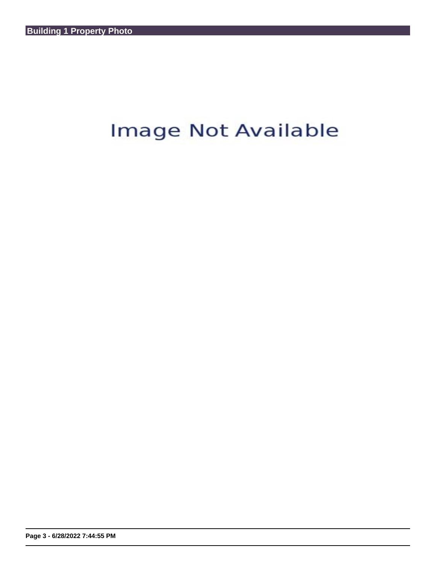## Image Not Available